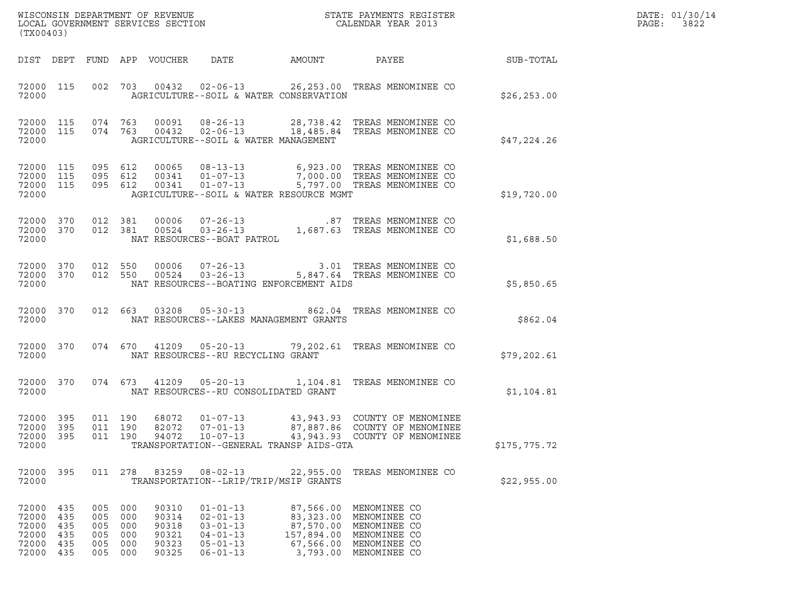| DATE: | 01/30/14 |
|-------|----------|
| PAGE: | 3822     |

| (TX00403)                                                  |                          |                                                |                               |                                                    | WISCONSIN DEPARTMENT OF REVENUE<br>LOCAL GOVERNMENT SERVICES SECTION                                     |        | STATE PAYMENTS REGISTER<br>CALENDAR YEAR 2013                                                                                                                                                                            |              | DATE: 01/30/14<br>PAGE:<br>3822 |
|------------------------------------------------------------|--------------------------|------------------------------------------------|-------------------------------|----------------------------------------------------|----------------------------------------------------------------------------------------------------------|--------|--------------------------------------------------------------------------------------------------------------------------------------------------------------------------------------------------------------------------|--------------|---------------------------------|
|                                                            |                          |                                                |                               | DIST DEPT FUND APP VOUCHER DATE                    |                                                                                                          | AMOUNT | <b>PAYEE</b>                                                                                                                                                                                                             | SUB-TOTAL    |                                 |
| 72000 115<br>72000                                         |                          |                                                |                               |                                                    | AGRICULTURE--SOIL & WATER CONSERVATION                                                                   |        | 002 703 00432 02-06-13 26,253.00 TREAS MENOMINEE CO                                                                                                                                                                      | \$26, 253.00 |                                 |
| 72000                                                      |                          |                                                |                               |                                                    | AGRICULTURE--SOIL & WATER MANAGEMENT                                                                     |        | 72000 115 074 763 00091 08-26-13 28,738.42 TREAS MENOMINEE CO<br>72000 115 074 763 00432 02-06-13 18,485.84 TREAS MENOMINEE CO                                                                                           | \$47,224.26  |                                 |
| 72000 115<br>72000 115<br>72000 115<br>72000               |                          |                                                | 095 612<br>095 612<br>095 612 |                                                    | AGRICULTURE--SOIL & WATER RESOURCE MGMT                                                                  |        | 00065 08-13-13 6,923.00 TREAS MENOMINEE CO<br>00341 01-07-13 7,000.00 TREAS MENOMINEE CO<br>00341 01-07-13 5,797.00 TREAS MENOMINEE CO                                                                                   | \$19,720.00  |                                 |
| 72000 370<br>72000 370<br>72000                            |                          |                                                |                               |                                                    | NAT RESOURCES--BOAT PATROL                                                                               |        | $\begin{array}{cccc} 012 & 381 & 00006 & 07\texttt{-}26\texttt{-}13 & \texttt{.87} & \texttt{TREAS MENOMINEE CO} \\ 012 & 381 & 00524 & 03\texttt{-}26\texttt{-}13 & 1,687.63 & \texttt{TREAS MENOMINEE CO} \end{array}$ | \$1,688.50   |                                 |
| 72000                                                      |                          |                                                |                               |                                                    | NAT RESOURCES--BOATING ENFORCEMENT AIDS                                                                  |        | $\begin{array}{cccccc} 72000 & 370 & 012 & 550 & 00006 & 07-26-13 & & & 3.01 & \text{TREAS MENOMINEE CO} \\ 72000 & 370 & 012 & 550 & 00524 & 03-26-13 & & & 5,847.64 & \text{TREAS MENOMINEE CO} \end{array}$           | \$5,850.65   |                                 |
| 72000 370<br>72000                                         |                          |                                                |                               |                                                    | NAT RESOURCES--LAKES MANAGEMENT GRANTS                                                                   |        | 012 663 03208 05-30-13 862.04 TREAS MENOMINEE CO                                                                                                                                                                         | \$862.04     |                                 |
| 72000 370<br>72000                                         |                          |                                                |                               |                                                    | NAT RESOURCES--RU RECYCLING GRANT                                                                        |        | 074 670 41209 05-20-13 79,202.61 TREAS MENOMINEE CO                                                                                                                                                                      | \$79, 202.61 |                                 |
| 72000 370<br>72000                                         |                          |                                                |                               |                                                    | NAT RESOURCES--RU CONSOLIDATED GRANT                                                                     |        | 074 673 41209 05-20-13 1,104.81 TREAS MENOMINEE CO                                                                                                                                                                       | \$1,104.81   |                                 |
| 72000 395<br>72000 395<br>72000 395<br>72000               |                          |                                                | 011 190<br>011 190<br>011 190 |                                                    | 68072 01-07-13<br>82072 07-01-13<br>TRANSPORTATION--GENERAL TRANSP AIDS-GTA                              |        | 43,943.93 COUNTY OF MENOMINEE<br>87,887.86 COUNTY OF MENOMINEE                                                                                                                                                           | \$175,775.72 |                                 |
| 72000 395<br>72000                                         |                          |                                                | 011 278                       | 83259                                              | $08 - 02 - 13$<br>TRANSPORTATION--LRIP/TRIP/MSIP GRANTS                                                  |        | 22,955.00 TREAS MENOMINEE CO                                                                                                                                                                                             | \$22,955.00  |                                 |
| 72000 435<br>72000<br>72000<br>72000<br>72000<br>72000 435 | 435<br>435<br>435<br>435 | 005<br>005 000<br>005<br>005<br>005<br>005 000 | 000<br>000<br>000<br>000      | 90310<br>90314<br>90318<br>90321<br>90323<br>90325 | $01 - 01 - 13$<br>$02 - 01 - 13$<br>$03 - 01 - 13$<br>$04 - 01 - 13$<br>$05 - 01 - 13$<br>$06 - 01 - 13$ |        | 87,566.00 MENOMINEE CO<br>83,323.00 MENOMINEE CO<br>87,570.00 MENOMINEE CO<br>157,894.00 MENOMINEE CO<br>67,566.00 MENOMINEE CO<br>3,793.00 MENOMINEE CO                                                                 |              |                                 |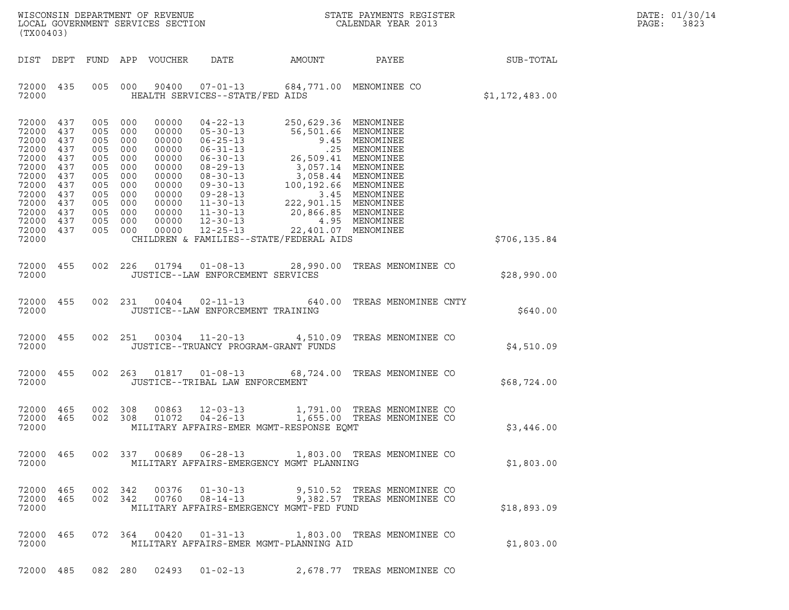| DATE: | 01/30/14 |
|-------|----------|
| PAGE: | 3823     |

| (TX00403)                                                                                                             |                                                                                  |                                                                                         |                                                                                         |                                                                                                                   |                                                                                                                                                                                                                                        |                                                                                                                                                                                                                                                                                                                 | $\tt WISCONSIM DEPARTMENT OF REVENUE$ $\tt WISCONSIM EN THE BAYMENTS REGISTERLOCAL GOVERNMENT SERVICES SECTION CALENDAR YEAR 2013$ |                | DATE: 01/30/14<br>PAGE:<br>3823 |
|-----------------------------------------------------------------------------------------------------------------------|----------------------------------------------------------------------------------|-----------------------------------------------------------------------------------------|-----------------------------------------------------------------------------------------|-------------------------------------------------------------------------------------------------------------------|----------------------------------------------------------------------------------------------------------------------------------------------------------------------------------------------------------------------------------------|-----------------------------------------------------------------------------------------------------------------------------------------------------------------------------------------------------------------------------------------------------------------------------------------------------------------|------------------------------------------------------------------------------------------------------------------------------------|----------------|---------------------------------|
| DIST DEPT                                                                                                             |                                                                                  |                                                                                         |                                                                                         | FUND APP VOUCHER                                                                                                  | DATE                                                                                                                                                                                                                                   | AMOUNT                                                                                                                                                                                                                                                                                                          | PAYEE                                                                                                                              | SUB-TOTAL      |                                 |
| 72000 435<br>72000                                                                                                    |                                                                                  | 005                                                                                     | 000                                                                                     | 90400                                                                                                             | $07 - 01 - 13$<br>HEALTH SERVICES--STATE/FED AIDS                                                                                                                                                                                      |                                                                                                                                                                                                                                                                                                                 | 684,771.00 MENOMINEE CO                                                                                                            | \$1,172,483.00 |                                 |
| 72000<br>72000<br>72000<br>72000<br>72000<br>72000<br>72000<br>72000<br>72000<br>72000<br>72000<br>72000<br>72000 437 | 437<br>437<br>437<br>437<br>437<br>437<br>437<br>437<br>437<br>437<br>437<br>437 | 005<br>005<br>005<br>005<br>005<br>005<br>005<br>005<br>005<br>005<br>005<br>005<br>005 | 000<br>000<br>000<br>000<br>000<br>000<br>000<br>000<br>000<br>000<br>000<br>000<br>000 | 00000<br>00000<br>00000<br>00000<br>00000<br>00000<br>00000<br>00000<br>00000<br>00000<br>00000<br>00000<br>00000 | $04 - 22 - 13$<br>$05 - 30 - 13$<br>$06 - 25 - 13$<br>$06 - 31 - 13$<br>$06 - 30 - 13$<br>$08 - 29 - 13$<br>$08 - 30 - 13$<br>$09 - 30 - 13$<br>$09 - 28 - 13$<br>$11 - 30 - 13$<br>$11 - 30 - 13$<br>$12 - 30 - 13$<br>$12 - 25 - 13$ | 250,629.36 MENOMINEE<br>56, 501.66 MENOMINEE<br>9.45 MENOMINEE<br>9.45 MENOMINEE<br>25, 509.41 MENOMINEE<br>3, 057.14 MENOMINEE<br>3, 058.44 MENOMINEE<br>3, 058.44 MENOMINEE<br>3.45 MENOMINEE<br>3.45 MENOMINEE<br>222, 901.15 MENOMINEE<br>20, 866.85 MENOMINEE<br>4.95 MENOMINEE<br>70.22, 401.07 MENOMINEE |                                                                                                                                    |                |                                 |
| 72000                                                                                                                 |                                                                                  |                                                                                         |                                                                                         |                                                                                                                   |                                                                                                                                                                                                                                        | CHILDREN & FAMILIES--STATE/FEDERAL AIDS                                                                                                                                                                                                                                                                         |                                                                                                                                    | \$706,135.84   |                                 |
| 72000<br>72000                                                                                                        | 455                                                                              | 002                                                                                     |                                                                                         |                                                                                                                   | 226 01794 01-08-13<br>JUSTICE--LAW ENFORCEMENT SERVICES                                                                                                                                                                                |                                                                                                                                                                                                                                                                                                                 | 28,990.00 TREAS MENOMINEE CO                                                                                                       | \$28,990.00    |                                 |
| 72000<br>72000                                                                                                        | 455                                                                              |                                                                                         | 002 231                                                                                 |                                                                                                                   | $00404$ $02 - 11 - 13$<br>JUSTICE--LAW ENFORCEMENT TRAINING                                                                                                                                                                            |                                                                                                                                                                                                                                                                                                                 | 640.00 TREAS MENOMINEE CNTY                                                                                                        | \$640.00       |                                 |
| 72000<br>72000                                                                                                        | 455                                                                              |                                                                                         |                                                                                         |                                                                                                                   | 002 251 00304 11-20-13<br>JUSTICE--TRUANCY PROGRAM-GRANT FUNDS                                                                                                                                                                         |                                                                                                                                                                                                                                                                                                                 | 4,510.09 TREAS MENOMINEE CO                                                                                                        | \$4,510.09     |                                 |
| 72000 455<br>72000                                                                                                    |                                                                                  |                                                                                         | 002 263                                                                                 |                                                                                                                   | 01817   01-08-13<br>JUSTICE--TRIBAL LAW ENFORCEMENT                                                                                                                                                                                    |                                                                                                                                                                                                                                                                                                                 | 68,724.00 TREAS MENOMINEE CO                                                                                                       | \$68,724.00    |                                 |
| 72000<br>72000<br>72000                                                                                               | 465<br>465                                                                       | 002 308<br>002 308                                                                      |                                                                                         | 00863<br>01072                                                                                                    | $12 - 03 - 13$<br>$04 - 26 - 13$                                                                                                                                                                                                       | MILITARY AFFAIRS-EMER MGMT-RESPONSE EQMT                                                                                                                                                                                                                                                                        | 1,791.00 TREAS MENOMINEE CO<br>1,655.00 TREAS MENOMINEE CO                                                                         | \$3,446.00     |                                 |
| 72000                                                                                                                 | 72000 465                                                                        |                                                                                         |                                                                                         |                                                                                                                   |                                                                                                                                                                                                                                        | MILITARY AFFAIRS-EMERGENCY MGMT PLANNING                                                                                                                                                                                                                                                                        | 002 337 00689 06-28-13 1,803.00 TREAS MENOMINEE CO                                                                                 | \$1,803.00     |                                 |
| 72000 465<br>72000                                                                                                    | 72000 465                                                                        |                                                                                         |                                                                                         |                                                                                                                   |                                                                                                                                                                                                                                        | MILITARY AFFAIRS-EMERGENCY MGMT-FED FUND                                                                                                                                                                                                                                                                        | 002 342 00376 01-30-13 9,510.52 TREAS MENOMINEE CO<br>002 342 00760 08-14-13 9,382.57 TREAS MENOMINEE CO                           | \$18,893.09    |                                 |
| 72000                                                                                                                 | 72000 465                                                                        |                                                                                         |                                                                                         |                                                                                                                   |                                                                                                                                                                                                                                        | MILITARY AFFAIRS-EMER MGMT-PLANNING AID                                                                                                                                                                                                                                                                         | 072 364 00420 01-31-13 1,803.00 TREAS MENOMINEE CO                                                                                 | \$1,803.00     |                                 |
|                                                                                                                       |                                                                                  | 72000 485 082 280                                                                       |                                                                                         | 02493                                                                                                             |                                                                                                                                                                                                                                        |                                                                                                                                                                                                                                                                                                                 | 01-02-13 2,678.77 TREAS MENOMINEE CO                                                                                               |                |                                 |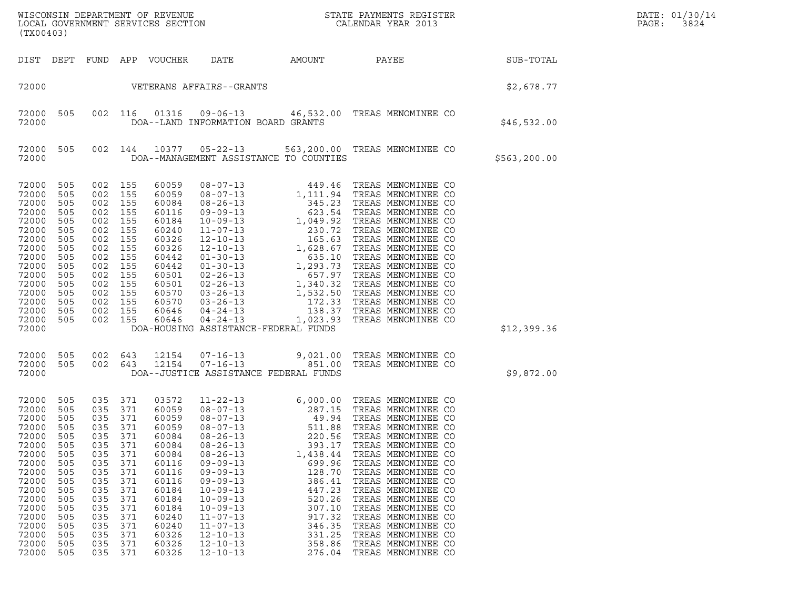| WISCONSIN DEPARTMENT OF REVENUE<br>LOCAL GOVERNMENT SERVICES SECTION<br>(TX00403)                                                                                                                                                                                                            |                                                                                                                            |                                                                                                                            |                                                                                                                                                                |                                                                                                                                                                                                                                                                                                                                  |                                                                                                                                                                                     | STATE PAYMENTS REGISTER<br>CALENDAR YEAR 2013                                                                                                                                                                                                                                                                                                                                                            |               | DATE: 01/30/14<br>PAGE:<br>3824 |
|----------------------------------------------------------------------------------------------------------------------------------------------------------------------------------------------------------------------------------------------------------------------------------------------|----------------------------------------------------------------------------------------------------------------------------|----------------------------------------------------------------------------------------------------------------------------|----------------------------------------------------------------------------------------------------------------------------------------------------------------|----------------------------------------------------------------------------------------------------------------------------------------------------------------------------------------------------------------------------------------------------------------------------------------------------------------------------------|-------------------------------------------------------------------------------------------------------------------------------------------------------------------------------------|----------------------------------------------------------------------------------------------------------------------------------------------------------------------------------------------------------------------------------------------------------------------------------------------------------------------------------------------------------------------------------------------------------|---------------|---------------------------------|
| DIST DEPT                                                                                                                                                                                                                                                                                    | FUND APP                                                                                                                   |                                                                                                                            | VOUCHER                                                                                                                                                        | DATE                                                                                                                                                                                                                                                                                                                             | AMOUNT                                                                                                                                                                              | PAYEE                                                                                                                                                                                                                                                                                                                                                                                                    | SUB-TOTAL     |                                 |
| 72000                                                                                                                                                                                                                                                                                        |                                                                                                                            |                                                                                                                            |                                                                                                                                                                | VETERANS AFFAIRS--GRANTS                                                                                                                                                                                                                                                                                                         |                                                                                                                                                                                     |                                                                                                                                                                                                                                                                                                                                                                                                          | \$2,678.77    |                                 |
| 505<br>72000<br>72000                                                                                                                                                                                                                                                                        | 002                                                                                                                        | 116                                                                                                                        | 01316                                                                                                                                                          | $09 - 06 - 13$<br>DOA--LAND INFORMATION BOARD GRANTS                                                                                                                                                                                                                                                                             |                                                                                                                                                                                     | 46,532.00 TREAS MENOMINEE CO                                                                                                                                                                                                                                                                                                                                                                             | \$46,532.00   |                                 |
| 72000<br>505<br>72000                                                                                                                                                                                                                                                                        |                                                                                                                            | 002 144                                                                                                                    | 10377                                                                                                                                                          | $05 - 22 - 13$<br>DOA--MANAGEMENT ASSISTANCE TO COUNTIES                                                                                                                                                                                                                                                                         |                                                                                                                                                                                     | 563,200.00 TREAS MENOMINEE CO                                                                                                                                                                                                                                                                                                                                                                            | \$563, 200.00 |                                 |
| 72000<br>505<br>72000<br>505<br>72000<br>505<br>72000<br>505<br>72000<br>505<br>72000<br>505<br>72000<br>505<br>72000<br>505<br>72000<br>505<br>72000<br>505<br>72000<br>505<br>72000<br>505<br>72000<br>505<br>72000<br>505<br>72000<br>505<br>72000<br>505<br>72000                        | 002<br>002<br>002<br>002<br>002<br>002<br>002<br>002<br>002<br>002<br>002<br>002<br>002<br>002<br>002<br>002               | 155<br>155<br>155<br>155<br>155<br>155<br>155<br>155<br>155<br>155<br>155<br>155<br>155<br>155<br>155<br>155               | 60059<br>60059<br>60084<br>60116<br>60184<br>60240<br>60326<br>60326<br>60442<br>60442<br>60501<br>60501<br>60570<br>60570<br>60646<br>60646                   | $04 - 24 - 13$<br>$04 - 24 - 13$<br>DOA-HOUSING ASSISTANCE-FEDERAL FUNDS                                                                                                                                                                                                                                                         | 1,023.93                                                                                                                                                                            | 138.37 TREAS MENOMINEE CO<br>TREAS MENOMINEE CO                                                                                                                                                                                                                                                                                                                                                          | \$12,399.36   |                                 |
| 72000<br>505<br>505<br>72000<br>72000                                                                                                                                                                                                                                                        |                                                                                                                            | 002 643<br>002 643                                                                                                         | 12154<br>12154                                                                                                                                                 | $07 - 16 - 13$<br>$07 - 16 - 13$<br>DOA--JUSTICE ASSISTANCE FEDERAL FUNDS                                                                                                                                                                                                                                                        | 9,021.00<br>851.00                                                                                                                                                                  | TREAS MENOMINEE CO<br>TREAS MENOMINEE CO                                                                                                                                                                                                                                                                                                                                                                 | \$9,872.00    |                                 |
| 72000<br>505<br>72000<br>505<br>72000<br>505<br>72000<br>505<br>72000<br>505<br>72000<br>505<br>72000<br>505<br>72000<br>505<br>72000<br>505<br>72000<br>505<br>72000<br>505<br>72000<br>505<br>72000<br>505<br>72000<br>505<br>72000<br>505<br>72000<br>505<br>72000<br>505<br>72000<br>505 | 035<br>035<br>035<br>035<br>035<br>035<br>035<br>035<br>035<br>035<br>035<br>035<br>035<br>035<br>035<br>035<br>035<br>035 | 371<br>371<br>371<br>371<br>371<br>371<br>371<br>371<br>371<br>371<br>371<br>371<br>371<br>371<br>371<br>371<br>371<br>371 | 03572<br>60059<br>60059<br>60059<br>60084<br>60084<br>60084<br>60116<br>60116<br>60116<br>60184<br>60184<br>60184<br>60240<br>60240<br>60326<br>60326<br>60326 | $11 - 22 - 13$<br>$08 - 07 - 13$<br>$08 - 07 - 13$<br>$08 - 07 - 13$<br>$08 - 26 - 13$<br>$08 - 26 - 13$<br>$08 - 26 - 13$<br>$09 - 09 - 13$<br>$09 - 09 - 13$<br>$09 - 09 - 13$<br>$10 - 09 - 13$<br>$10 - 09 - 13$<br>$10 - 09 - 13$<br>$11 - 07 - 13$<br>$11 - 07 - 13$<br>$12 - 10 - 13$<br>$12 - 10 - 13$<br>$12 - 10 - 13$ | 6,000.00<br>287.15<br>49.94<br>511.88<br>220.56<br>393.17<br>1,438.44<br>699.96<br>128.70<br>386.41<br>447.23<br>520.26<br>307.10<br>917.32<br>346.35<br>331.25<br>358.86<br>276.04 | TREAS MENOMINEE CO<br>TREAS MENOMINEE CO<br>TREAS MENOMINEE CO<br>TREAS MENOMINEE CO<br>TREAS MENOMINEE CO<br>TREAS MENOMINEE CO<br>TREAS MENOMINEE CO<br>TREAS MENOMINEE CO<br>TREAS MENOMINEE CO<br>TREAS MENOMINEE CO<br>TREAS MENOMINEE CO<br>TREAS MENOMINEE CO<br>TREAS MENOMINEE CO<br>TREAS MENOMINEE CO<br>TREAS MENOMINEE CO<br>TREAS MENOMINEE CO<br>TREAS MENOMINEE CO<br>TREAS MENOMINEE CO |               |                                 |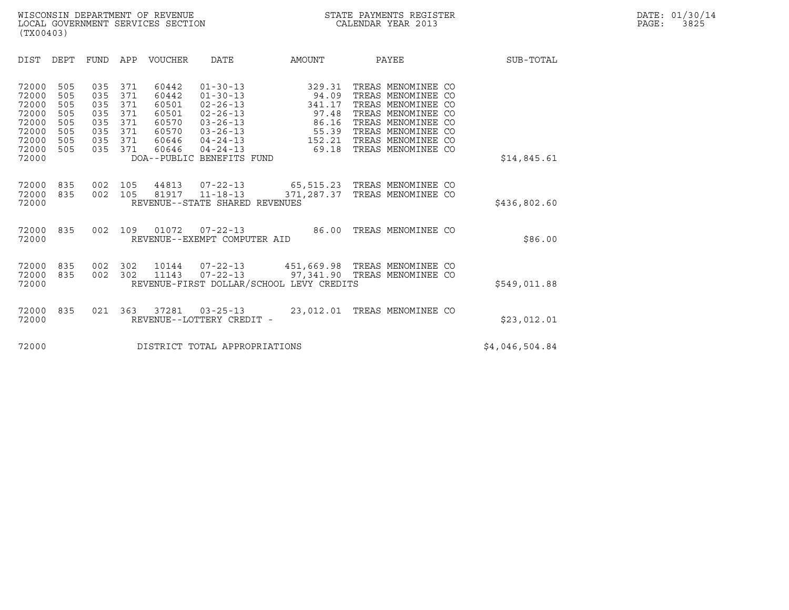| (TX00403)                                                                     |                                                      |                                                      |                                                      |                                                                      |                                                                                                                                                                           |                                                                           |                                                                                                                                                                              |                |
|-------------------------------------------------------------------------------|------------------------------------------------------|------------------------------------------------------|------------------------------------------------------|----------------------------------------------------------------------|---------------------------------------------------------------------------------------------------------------------------------------------------------------------------|---------------------------------------------------------------------------|------------------------------------------------------------------------------------------------------------------------------------------------------------------------------|----------------|
| DIST                                                                          | <b>DEPT</b>                                          | <b>FUND</b>                                          | APP                                                  | <b>VOUCHER</b>                                                       | DATE                                                                                                                                                                      | AMOUNT                                                                    | PAYEE                                                                                                                                                                        | SUB-TOTAL      |
| 72000<br>72000<br>72000<br>72000<br>72000<br>72000<br>72000<br>72000<br>72000 | 505<br>505<br>505<br>505<br>505<br>505<br>505<br>505 | 035<br>035<br>035<br>035<br>035<br>035<br>035<br>035 | 371<br>371<br>371<br>371<br>371<br>371<br>371<br>371 | 60442<br>60442<br>60501<br>60501<br>60570<br>60570<br>60646<br>60646 | $01 - 30 - 13$<br>$01 - 30 - 13$<br>$02 - 26 - 13$<br>$02 - 26 - 13$<br>$03 - 26 - 13$<br>$03 - 26 - 13$<br>$04 - 24 - 13$<br>$04 - 24 - 13$<br>DOA--PUBLIC BENEFITS FUND | 329.31<br>94.09<br>341.17<br>97.48<br>86.16<br>55.39<br>152.21<br>69.18   | TREAS MENOMINEE CO<br>TREAS MENOMINEE CO<br>TREAS MENOMINEE CO<br>TREAS MENOMINEE CO<br>TREAS MENOMINEE CO<br>TREAS MENOMINEE CO<br>TREAS MENOMINEE CO<br>TREAS MENOMINEE CO | \$14,845.61    |
| 72000<br>72000<br>72000                                                       | 835<br>835                                           | 002<br>002                                           | 105<br>105                                           | 44813<br>81917                                                       | 07-22-13<br>$11 - 18 - 13$<br>REVENUE--STATE SHARED REVENUES                                                                                                              | 371,287.37                                                                | 65,515.23 TREAS MENOMINEE CO<br>TREAS MENOMINEE CO                                                                                                                           | \$436,802.60   |
| 72000<br>72000                                                                | 835                                                  | 002                                                  | 109                                                  | 01072                                                                | $07 - 22 - 13$<br>REVENUE--EXEMPT COMPUTER AID                                                                                                                            | 86.00                                                                     | TREAS MENOMINEE CO                                                                                                                                                           | \$86.00        |
| 72000<br>72000<br>72000                                                       | 835<br>835                                           | 002<br>002                                           | 302<br>302                                           | 10144<br>11143                                                       | 07-22-13<br>$07 - 22 - 13$                                                                                                                                                | 451,669.98 TREAS MENOMINEE CO<br>REVENUE-FIRST DOLLAR/SCHOOL LEVY CREDITS | 97,341.90 TREAS MENOMINEE CO                                                                                                                                                 | \$549,011.88   |
| 72000<br>72000                                                                | 835                                                  | 021                                                  | 363                                                  | 37281                                                                | $03 - 25 - 13$<br>REVENUE--LOTTERY CREDIT -                                                                                                                               | 23,012.01                                                                 | TREAS MENOMINEE CO                                                                                                                                                           | \$23,012.01    |
| 72000                                                                         |                                                      |                                                      |                                                      |                                                                      | DISTRICT TOTAL APPROPRIATIONS                                                                                                                                             |                                                                           |                                                                                                                                                                              | \$4,046,504.84 |